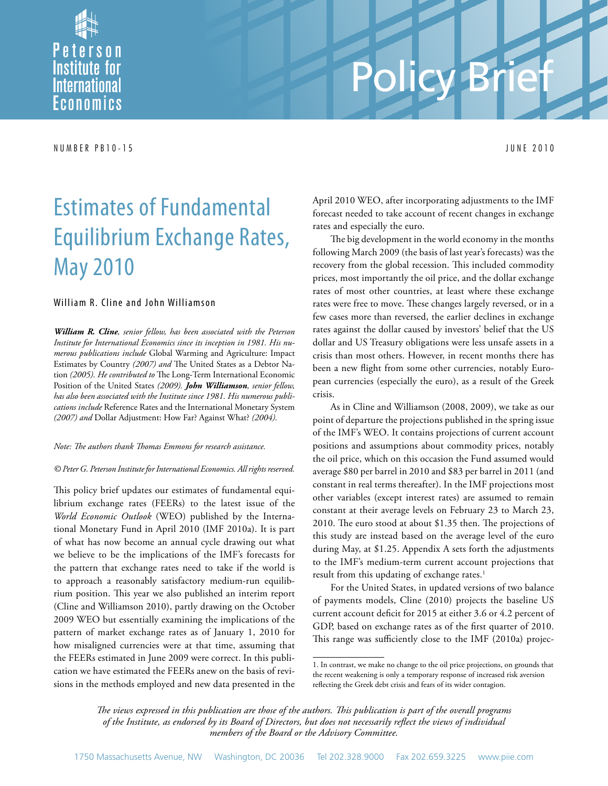

# Policy Brief

N U M B E R P B 1 0 - 1 5 j U N E 2 0 1 0

## Estimates of Fundamental Equilibrium Exchange Rates, May 2010

#### William R. Cline and John Williamson

*William R. Cline, senior fellow, has been associated with the Peterson Institute for International Economics since its inception in 1981. His numerous publications include* Global Warming and Agriculture: Impact Estimates by Country *(2007) and* The United States as a Debtor Nation *(2005). He contributed to* The Long-Term International Economic Position of the United States *(2009). John Williamson, senior fellow, has also been associated with the Institute since 1981. His numerous publications include* Reference Rates and the International Monetary System *(2007) and* Dollar Adjustment: How Far? Against What? *(2004).*

#### *Note: The authors thank Thomas Emmons for research assistance.*

#### *© Peter G. Peterson Institute for International Economics. All rights reserved.*

This policy brief updates our estimates of fundamental equilibrium exchange rates (FEERs) to the latest issue of the *World Economic Outlook* (WEO) published by the International Monetary Fund in April 2010 (IMF 2010a). It is part of what has now become an annual cycle drawing out what we believe to be the implications of the IMF's forecasts for the pattern that exchange rates need to take if the world is to approach a reasonably satisfactory medium-run equilibrium position. This year we also published an interim report (Cline and Williamson 2010), partly drawing on the October 2009 WEO but essentially examining the implications of the pattern of market exchange rates as of January 1, 2010 for how misaligned currencies were at that time, assuming that the FEERs estimated in June 2009 were correct. In this publication we have estimated the FEERs anew on the basis of revisions in the methods employed and new data presented in the April 2010 WEO, after incorporating adjustments to the IMF forecast needed to take account of recent changes in exchange rates and especially the euro.

The big development in the world economy in the months following March 2009 (the basis of last year's forecasts) was the recovery from the global recession. This included commodity prices, most importantly the oil price, and the dollar exchange rates of most other countries, at least where these exchange rates were free to move. These changes largely reversed, or in a few cases more than reversed, the earlier declines in exchange rates against the dollar caused by investors' belief that the US dollar and US Treasury obligations were less unsafe assets in a crisis than most others. However, in recent months there has been a new flight from some other currencies, notably European currencies (especially the euro), as a result of the Greek crisis.

As in Cline and Williamson (2008, 2009), we take as our point of departure the projections published in the spring issue of the IMF's WEO. It contains projections of current account positions and assumptions about commodity prices, notably the oil price, which on this occasion the Fund assumed would average \$80 per barrel in 2010 and \$83 per barrel in 2011 (and constant in real terms thereafter). In the IMF projections most other variables (except interest rates) are assumed to remain constant at their average levels on February 23 to March 23, 2010. The euro stood at about \$1.35 then. The projections of this study are instead based on the average level of the euro during May, at \$1.25. Appendix A sets forth the adjustments to the IMF's medium-term current account projections that result from this updating of exchange rates.<sup>1</sup>

For the United States, in updated versions of two balance of payments models, Cline (2010) projects the baseline US current account deficit for 2015 at either 3.6 or 4.2 percent of GDP, based on exchange rates as of the first quarter of 2010. This range was sufficiently close to the IMF (2010a) projec-

*The views expressed in this publication are those of the authors. This publication is part of the overall programs of the Institute, as endorsed by its Board of Directors, but does not necessarily reflect the views of individual members of the Board or the Advisory Committee.*

<sup>1.</sup> In contrast, we make no change to the oil price projections, on grounds that the recent weakening is only a temporary response of increased risk aversion reflecting the Greek debt crisis and fears of its wider contagion.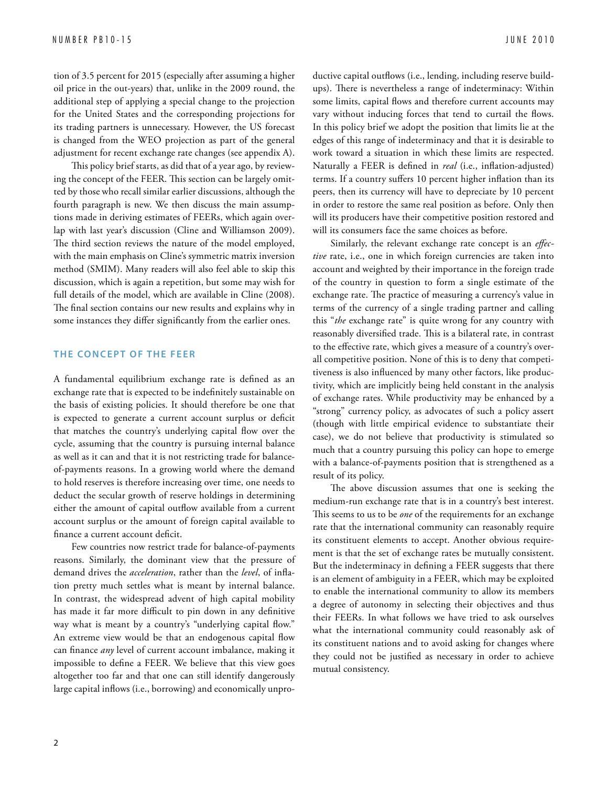tion of 3.5 percent for 2015 (especially after assuming a higher oil price in the out-years) that, unlike in the 2009 round, the additional step of applying a special change to the projection for the United States and the corresponding projections for its trading partners is unnecessary. However, the US forecast is changed from the WEO projection as part of the general adjustment for recent exchange rate changes (see appendix A).

This policy brief starts, as did that of a year ago, by reviewing the concept of the FEER. This section can be largely omitted by those who recall similar earlier discussions, although the fourth paragraph is new. We then discuss the main assumptions made in deriving estimates of FEERs, which again overlap with last year's discussion (Cline and Williamson 2009). The third section reviews the nature of the model employed, with the main emphasis on Cline's symmetric matrix inversion method (SMIM). Many readers will also feel able to skip this discussion, which is again a repetition, but some may wish for full details of the model, which are available in Cline (2008). The final section contains our new results and explains why in some instances they differ significantly from the earlier ones.

#### **THE CONCEPT OF THE FEER**

A fundamental equilibrium exchange rate is defined as an exchange rate that is expected to be indefinitely sustainable on the basis of existing policies. It should therefore be one that is expected to generate a current account surplus or deficit that matches the country's underlying capital flow over the cycle, assuming that the country is pursuing internal balance as well as it can and that it is not restricting trade for balanceof-payments reasons. In a growing world where the demand to hold reserves is therefore increasing over time, one needs to deduct the secular growth of reserve holdings in determining either the amount of capital outflow available from a current account surplus or the amount of foreign capital available to finance a current account deficit.

Few countries now restrict trade for balance-of-payments reasons. Similarly, the dominant view that the pressure of demand drives the *acceleration*, rather than the *level*, of inflation pretty much settles what is meant by internal balance. In contrast, the widespread advent of high capital mobility has made it far more difficult to pin down in any definitive way what is meant by a country's "underlying capital flow." An extreme view would be that an endogenous capital flow can finance *any* level of current account imbalance, making it impossible to define a FEER. We believe that this view goes altogether too far and that one can still identify dangerously large capital inflows (i.e., borrowing) and economically unproductive capital outflows (i.e., lending, including reserve buildups). There is nevertheless a range of indeterminacy: Within some limits, capital flows and therefore current accounts may vary without inducing forces that tend to curtail the flows. In this policy brief we adopt the position that limits lie at the edges of this range of indeterminacy and that it is desirable to work toward a situation in which these limits are respected. Naturally a FEER is defined in *real* (i.e., inflation-adjusted) terms. If a country suffers 10 percent higher inflation than its peers, then its currency will have to depreciate by 10 percent in order to restore the same real position as before. Only then will its producers have their competitive position restored and will its consumers face the same choices as before.

Similarly, the relevant exchange rate concept is an *effective* rate, i.e., one in which foreign currencies are taken into account and weighted by their importance in the foreign trade of the country in question to form a single estimate of the exchange rate. The practice of measuring a currency's value in terms of the currency of a single trading partner and calling this "*the* exchange rate" is quite wrong for any country with reasonably diversified trade. This is a bilateral rate, in contrast to the effective rate, which gives a measure of a country's overall competitive position. None of this is to deny that competitiveness is also influenced by many other factors, like productivity, which are implicitly being held constant in the analysis of exchange rates. While productivity may be enhanced by a "strong" currency policy, as advocates of such a policy assert (though with little empirical evidence to substantiate their case), we do not believe that productivity is stimulated so much that a country pursuing this policy can hope to emerge with a balance-of-payments position that is strengthened as a result of its policy.

The above discussion assumes that one is seeking the medium-run exchange rate that is in a country's best interest. This seems to us to be *one* of the requirements for an exchange rate that the international community can reasonably require its constituent elements to accept. Another obvious requirement is that the set of exchange rates be mutually consistent. But the indeterminacy in defining a FEER suggests that there is an element of ambiguity in a FEER, which may be exploited to enable the international community to allow its members a degree of autonomy in selecting their objectives and thus their FEERs. In what follows we have tried to ask ourselves what the international community could reasonably ask of its constituent nations and to avoid asking for changes where they could not be justified as necessary in order to achieve mutual consistency.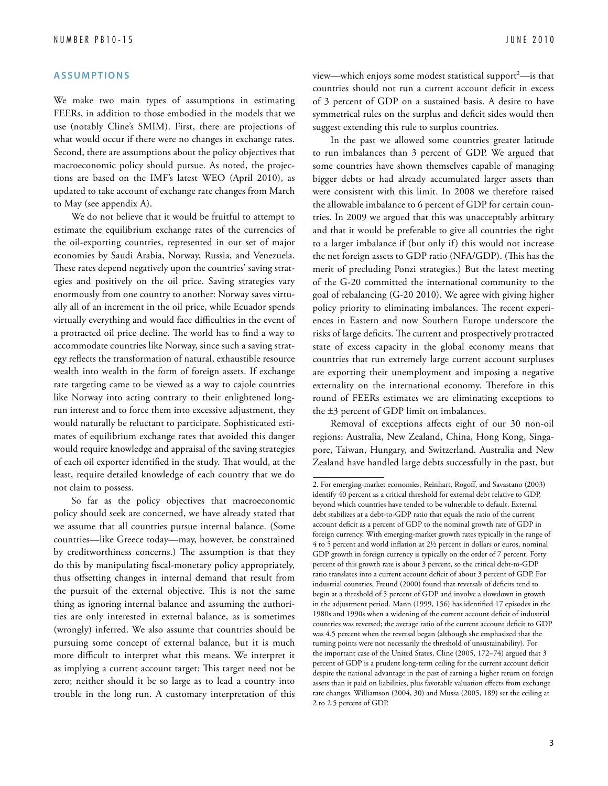#### **A s s u m pti o n s**

We make two main types of assumptions in estimating FEERs, in addition to those embodied in the models that we use (notably Cline's SMIM). First, there are projections of what would occur if there were no changes in exchange rates. Second, there are assumptions about the policy objectives that macroeconomic policy should pursue. As noted, the projections are based on the IMF's latest WEO (April 2010), as updated to take account of exchange rate changes from March to May (see appendix A).

We do not believe that it would be fruitful to attempt to estimate the equilibrium exchange rates of the currencies of the oil-exporting countries, represented in our set of major economies by Saudi Arabia, Norway, Russia, and Venezuela. These rates depend negatively upon the countries' saving strategies and positively on the oil price. Saving strategies vary enormously from one country to another: Norway saves virtually all of an increment in the oil price, while Ecuador spends virtually everything and would face difficulties in the event of a protracted oil price decline. The world has to find a way to accommodate countries like Norway, since such a saving strategy reflects the transformation of natural, exhaustible resource wealth into wealth in the form of foreign assets. If exchange rate targeting came to be viewed as a way to cajole countries like Norway into acting contrary to their enlightened longrun interest and to force them into excessive adjustment, they would naturally be reluctant to participate. Sophisticated estimates of equilibrium exchange rates that avoided this danger would require knowledge and appraisal of the saving strategies of each oil exporter identified in the study. That would, at the least, require detailed knowledge of each country that we do not claim to possess.

So far as the policy objectives that macroeconomic policy should seek are concerned, we have already stated that we assume that all countries pursue internal balance. (Some countries—like Greece today—may, however, be constrained by creditworthiness concerns.) The assumption is that they do this by manipulating fiscal-monetary policy appropriately, thus offsetting changes in internal demand that result from the pursuit of the external objective. This is not the same thing as ignoring internal balance and assuming the authorities are only interested in external balance, as is sometimes (wrongly) inferred. We also assume that countries should be pursuing some concept of external balance, but it is much more difficult to interpret what this means. We interpret it as implying a current account target: This target need not be zero; neither should it be so large as to lead a country into trouble in the long run. A customary interpretation of this

view—which enjoys some modest statistical support $^2$ —is that countries should not run a current account deficit in excess of 3 percent of GDP on a sustained basis. A desire to have symmetrical rules on the surplus and deficit sides would then suggest extending this rule to surplus countries.

In the past we allowed some countries greater latitude to run imbalances than 3 percent of GDP. We argued that some countries have shown themselves capable of managing bigger debts or had already accumulated larger assets than were consistent with this limit. In 2008 we therefore raised the allowable imbalance to 6 percent of GDP for certain countries. In 2009 we argued that this was unacceptably arbitrary and that it would be preferable to give all countries the right to a larger imbalance if (but only if) this would not increase the net foreign assets to GDP ratio (NFA/GDP). (This has the merit of precluding Ponzi strategies.) But the latest meeting of the G-20 committed the international community to the goal of rebalancing (G-20 2010). We agree with giving higher policy priority to eliminating imbalances. The recent experiences in Eastern and now Southern Europe underscore the risks of large deficits. The current and prospectively protracted state of excess capacity in the global economy means that countries that run extremely large current account surpluses are exporting their unemployment and imposing a negative externality on the international economy. Therefore in this round of FEERs estimates we are eliminating exceptions to the ±3 percent of GDP limit on imbalances.

Removal of exceptions affects eight of our 30 non-oil regions: Australia, New Zealand, China, Hong Kong, Singapore, Taiwan, Hungary, and Switzerland. Australia and New Zealand have handled large debts successfully in the past, but

<sup>2.</sup> For emerging-market economies, Reinhart, Rogoff, and Savastano (2003) identify 40 percent as a critical threshold for external debt relative to GDP, beyond which countries have tended to be vulnerable to default. External debt stabilizes at a debt-to-GDP ratio that equals the ratio of the current account deficit as a percent of GDP to the nominal growth rate of GDP in foreign currency. With emerging-market growth rates typically in the range of 4 to 5 percent and world inflation at 2½ percent in dollars or euros, nominal GDP growth in foreign currency is typically on the order of 7 percent. Forty percent of this growth rate is about 3 percent, so the critical debt-to-GDP ratio translates into a current account deficit of about 3 percent of GDP. For industrial countries, Freund (2000) found that reversals of deficits tend to begin at a threshold of 5 percent of GDP and involve a slowdown in growth in the adjustment period. Mann (1999, 156) has identified 17 episodes in the 1980s and 1990s when a widening of the current account deficit of industrial countries was reversed; the average ratio of the current account deficit to GDP was 4.5 percent when the reversal began (although she emphasized that the turning points were not necessarily the threshold of unsustainability). For the important case of the United States, Cline (2005, 172–74) argued that 3 percent of GDP is a prudent long-term ceiling for the current account deficit despite the national advantage in the past of earning a higher return on foreign assets than it paid on liabilities, plus favorable valuation effects from exchange rate changes. Williamson (2004, 30) and Mussa (2005, 189) set the ceiling at 2 to 2.5 percent of GDP.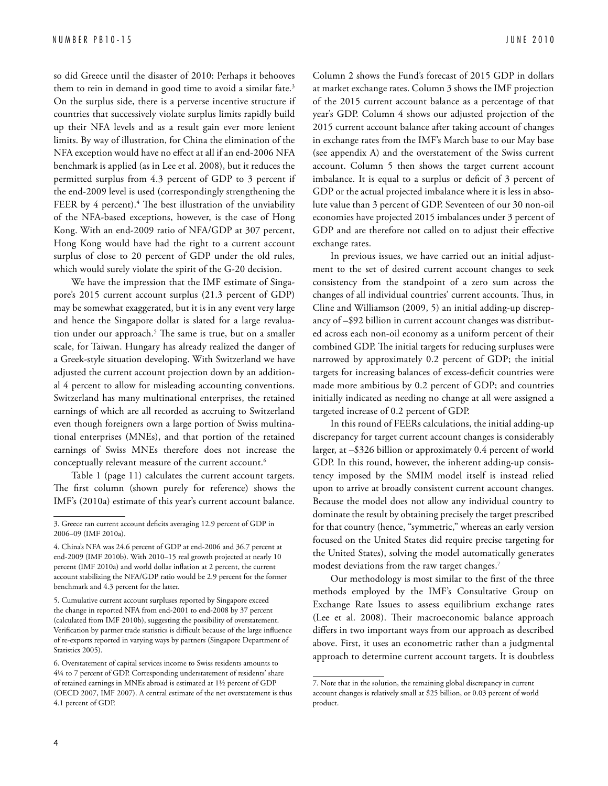so did Greece until the disaster of 2010: Perhaps it behooves them to rein in demand in good time to avoid a similar fate.<sup>3</sup> On the surplus side, there is a perverse incentive structure if countries that successively violate surplus limits rapidly build up their NFA levels and as a result gain ever more lenient limits. By way of illustration, for China the elimination of the NFA exception would have no effect at all if an end-2006 NFA benchmark is applied (as in Lee et al. 2008), but it reduces the permitted surplus from 4.3 percent of GDP to 3 percent if the end-2009 level is used (correspondingly strengthening the FEER by  $4$  percent). $4$  The best illustration of the unviability of the NFA-based exceptions, however, is the case of Hong Kong. With an end-2009 ratio of NFA/GDP at 307 percent, Hong Kong would have had the right to a current account surplus of close to 20 percent of GDP under the old rules, which would surely violate the spirit of the G-20 decision.

We have the impression that the IMF estimate of Singapore's 2015 current account surplus (21.3 percent of GDP) may be somewhat exaggerated, but it is in any event very large and hence the Singapore dollar is slated for a large revaluation under our approach.<sup>5</sup> The same is true, but on a smaller scale, for Taiwan. Hungary has already realized the danger of a Greek-style situation developing. With Switzerland we have adjusted the current account projection down by an additional 4 percent to allow for misleading accounting conventions. Switzerland has many multinational enterprises, the retained earnings of which are all recorded as accruing to Switzerland even though foreigners own a large portion of Swiss multinational enterprises (MNEs), and that portion of the retained earnings of Swiss MNEs therefore does not increase the conceptually relevant measure of the current account.<sup>6</sup>

Table 1 (page 11) calculates the current account targets. The first column (shown purely for reference) shows the IMF's (2010a) estimate of this year's current account balance. Column 2 shows the Fund's forecast of 2015 GDP in dollars at market exchange rates. Column 3 shows the IMF projection of the 2015 current account balance as a percentage of that year's GDP. Column 4 shows our adjusted projection of the 2015 current account balance after taking account of changes in exchange rates from the IMF's March base to our May base (see appendix A) and the overstatement of the Swiss current account. Column 5 then shows the target current account imbalance. It is equal to a surplus or deficit of 3 percent of GDP or the actual projected imbalance where it is less in absolute value than 3 percent of GDP. Seventeen of our 30 non-oil economies have projected 2015 imbalances under 3 percent of GDP and are therefore not called on to adjust their effective exchange rates.

In previous issues, we have carried out an initial adjustment to the set of desired current account changes to seek consistency from the standpoint of a zero sum across the changes of all individual countries' current accounts. Thus, in Cline and Williamson (2009, 5) an initial adding-up discrepancy of –\$92 billion in current account changes was distributed across each non-oil economy as a uniform percent of their combined GDP. The initial targets for reducing surpluses were narrowed by approximately 0.2 percent of GDP; the initial targets for increasing balances of excess-deficit countries were made more ambitious by 0.2 percent of GDP; and countries initially indicated as needing no change at all were assigned a targeted increase of 0.2 percent of GDP.

In this round of FEERs calculations, the initial adding-up discrepancy for target current account changes is considerably larger, at –\$326 billion or approximately 0.4 percent of world GDP. In this round, however, the inherent adding-up consistency imposed by the SMIM model itself is instead relied upon to arrive at broadly consistent current account changes. Because the model does not allow any individual country to dominate the result by obtaining precisely the target prescribed for that country (hence, "symmetric," whereas an early version focused on the United States did require precise targeting for the United States), solving the model automatically generates modest deviations from the raw target changes.7

Our methodology is most similar to the first of the three methods employed by the IMF's Consultative Group on Exchange Rate Issues to assess equilibrium exchange rates (Lee et al. 2008). Their macroeconomic balance approach differs in two important ways from our approach as described above. First, it uses an econometric rather than a judgmental approach to determine current account targets. It is doubtless

<sup>3.</sup> Greece ran current account deficits averaging 12.9 percent of GDP in 2006–09 (IMF 2010a).

<sup>4.</sup> China's NFA was 24.6 percent of GDP at end-2006 and 36.7 percent at end-2009 (IMF 2010b). With 2010–15 real growth projected at nearly 10 percent (IMF 2010a) and world dollar inflation at 2 percent, the current account stabilizing the NFA/GDP ratio would be 2.9 percent for the former benchmark and 4.3 percent for the latter.

<sup>5.</sup> Cumulative current account surpluses reported by Singapore exceed the change in reported NFA from end-2001 to end-2008 by 37 percent (calculated from IMF 2010b), suggesting the possibility of overstatement. Verification by partner trade statistics is difficult because of the large influence of re-exports reported in varying ways by partners (Singapore Department of Statistics 2005).

<sup>6.</sup> Overstatement of capital services income to Swiss residents amounts to 4¼ to 7 percent of GDP. Corresponding understatement of residents' share of retained earnings in MNEs abroad is estimated at 1½ percent of GDP (OECD 2007, IMF 2007). A central estimate of the net overstatement is thus 4.1 percent of GDP.

<sup>7.</sup> Note that in the solution, the remaining global discrepancy in current account changes is relatively small at \$25 billion, or 0.03 percent of world product.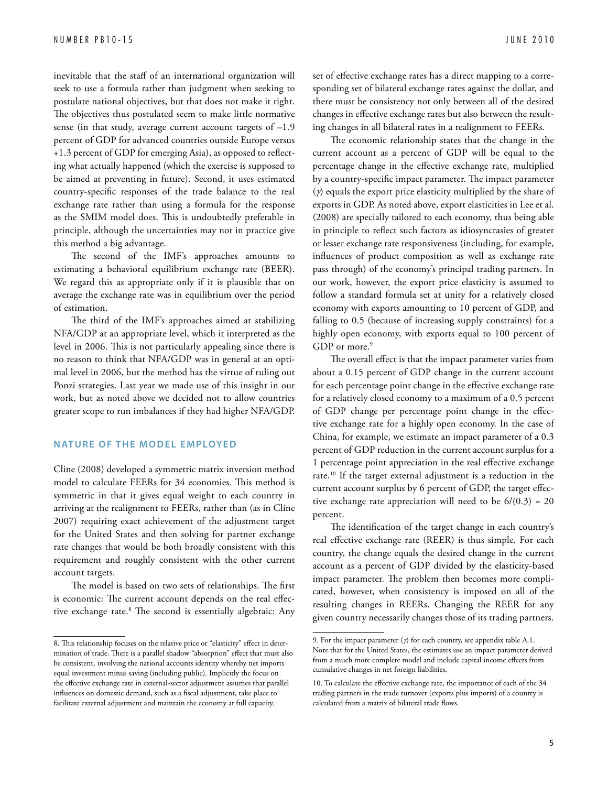inevitable that the staff of an international organization will seek to use a formula rather than judgment when seeking to postulate national objectives, but that does not make it right. The objectives thus postulated seem to make little normative sense (in that study, average current account targets of –1.9 percent of GDP for advanced countries outside Europe versus +1.3 percent of GDP for emerging Asia), as opposed to reflecting what actually happened (which the exercise is supposed to be aimed at preventing in future). Second, it uses estimated country-specific responses of the trade balance to the real exchange rate rather than using a formula for the response as the SMIM model does. This is undoubtedly preferable in principle, although the uncertainties may not in practice give this method a big advantage.

The second of the IMF's approaches amounts to estimating a behavioral equilibrium exchange rate (BEER). We regard this as appropriate only if it is plausible that on average the exchange rate was in equilibrium over the period of estimation.

The third of the IMF's approaches aimed at stabilizing NFA/GDP at an appropriate level, which it interpreted as the level in 2006. This is not particularly appealing since there is no reason to think that NFA/GDP was in general at an optimal level in 2006, but the method has the virtue of ruling out Ponzi strategies. Last year we made use of this insight in our work, but as noted above we decided not to allow countries greater scope to run imbalances if they had higher NFA/GDP.

#### **NATURE OF THE MODEL EMPLOYED**

Cline (2008) developed a symmetric matrix inversion method model to calculate FEERs for 34 economies. This method is symmetric in that it gives equal weight to each country in arriving at the realignment to FEERs, rather than (as in Cline 2007) requiring exact achievement of the adjustment target for the United States and then solving for partner exchange rate changes that would be both broadly consistent with this requirement and roughly consistent with the other current account targets.

The model is based on two sets of relationships. The first is economic: The current account depends on the real effective exchange rate.8 The second is essentially algebraic: Any set of effective exchange rates has a direct mapping to a corresponding set of bilateral exchange rates against the dollar, and there must be consistency not only between all of the desired changes in effective exchange rates but also between the resulting changes in all bilateral rates in a realignment to FEERs.

The economic relationship states that the change in the current account as a percent of GDP will be equal to the percentage change in the effective exchange rate, multiplied by a country-specific impact parameter. The impact parameter (γ) equals the export price elasticity multiplied by the share of exports in GDP. As noted above, export elasticities in Lee et al. (2008) are specially tailored to each economy, thus being able in principle to reflect such factors as idiosyncrasies of greater or lesser exchange rate responsiveness (including, for example, influences of product composition as well as exchange rate pass through) of the economy's principal trading partners. In our work, however, the export price elasticity is assumed to follow a standard formula set at unity for a relatively closed economy with exports amounting to 10 percent of GDP, and falling to 0.5 (because of increasing supply constraints) for a highly open economy, with exports equal to 100 percent of GDP or more.<sup>9</sup>

The overall effect is that the impact parameter varies from about a 0.15 percent of GDP change in the current account for each percentage point change in the effective exchange rate for a relatively closed economy to a maximum of a 0.5 percent of GDP change per percentage point change in the effective exchange rate for a highly open economy. In the case of China, for example, we estimate an impact parameter of a 0.3 percent of GDP reduction in the current account surplus for a 1 percentage point appreciation in the real effective exchange rate.10 If the target external adjustment is a reduction in the current account surplus by 6 percent of GDP, the target effective exchange rate appreciation will need to be  $6/(0.3) = 20$ percent.

The identification of the target change in each country's real effective exchange rate (REER) is thus simple. For each country, the change equals the desired change in the current account as a percent of GDP divided by the elasticity-based impact parameter. The problem then becomes more complicated, however, when consistency is imposed on all of the resulting changes in REERs. Changing the REER for any given country necessarily changes those of its trading partners.

<sup>8.</sup> This relationship focuses on the relative price or "elasticity" effect in determination of trade. There is a parallel shadow "absorption" effect that must also be consistent, involving the national accounts identity whereby net imports equal investment minus saving (including public). Implicitly the focus on the effective exchange rate in external-sector adjustment assumes that parallel influences on domestic demand, such as a fiscal adjustment, take place to facilitate external adjustment and maintain the economy at full capacity.

<sup>9.</sup> For the impact parameter ( $\gamma$ ) for each country, see appendix table A.1. Note that for the United States, the estimates use an impact parameter derived from a much more complete model and include capital income effects from cumulative changes in net foreign liabilities.

<sup>10.</sup> To calculate the effective exchange rate, the importance of each of the 34 trading partners in the trade turnover (exports plus imports) of a country is calculated from a matrix of bilateral trade flows.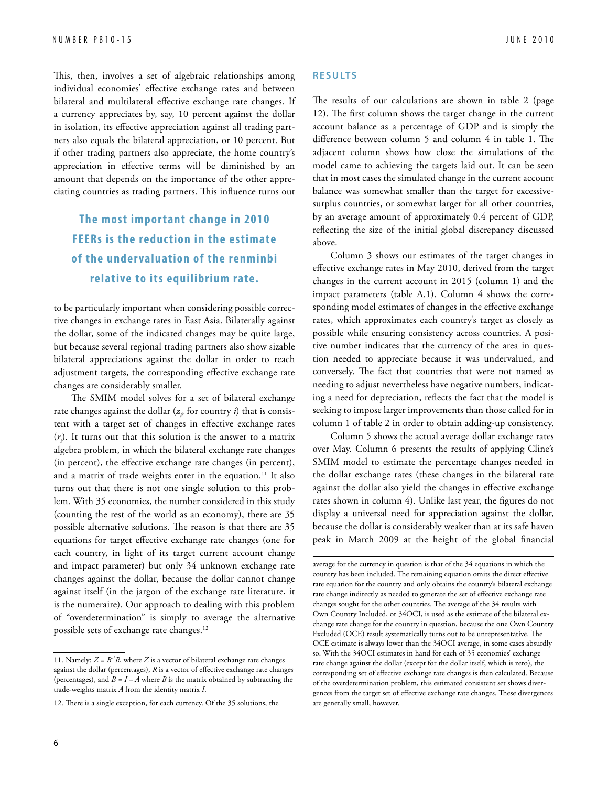This, then, involves a set of algebraic relationships among individual economies' effective exchange rates and between bilateral and multilateral effective exchange rate changes. If a currency appreciates by, say, 10 percent against the dollar in isolation, its effective appreciation against all trading partners also equals the bilateral appreciation, or 10 percent. But if other trading partners also appreciate, the home country's appreciation in effective terms will be diminished by an amount that depends on the importance of the other appreciating countries as trading partners. This influence turns out

## **The most impor tant change in 2010 FEERs is the reduc tion in the estimate of the under valuation of the renminbi relative to its equilibrium rate.**

to be particularly important when considering possible corrective changes in exchange rates in East Asia. Bilaterally against the dollar, some of the indicated changes may be quite large, but because several regional trading partners also show sizable bilateral appreciations against the dollar in order to reach adjustment targets, the corresponding effective exchange rate changes are considerably smaller.

The SMIM model solves for a set of bilateral exchange rate changes against the dollar  $(z_{i}$ , for country  $i$ ) that is consistent with a target set of changes in effective exchange rates  $(r<sub>i</sub>)$ . It turns out that this solution is the answer to a matrix algebra problem, in which the bilateral exchange rate changes (in percent), the effective exchange rate changes (in percent), and a matrix of trade weights enter in the equation.<sup>11</sup> It also turns out that there is not one single solution to this problem. With 35 economies, the number considered in this study (counting the rest of the world as an economy), there are 35 possible alternative solutions. The reason is that there are 35 equations for target effective exchange rate changes (one for each country, in light of its target current account change and impact parameter) but only 34 unknown exchange rate changes against the dollar, because the dollar cannot change against itself (in the jargon of the exchange rate literature, it is the numeraire). Our approach to dealing with this problem of "overdetermination" is simply to average the alternative possible sets of exchange rate changes.12

#### **R e s u lts**

The results of our calculations are shown in table 2 (page 12). The first column shows the target change in the current account balance as a percentage of GDP and is simply the difference between column 5 and column 4 in table 1. The adjacent column shows how close the simulations of the model came to achieving the targets laid out. It can be seen that in most cases the simulated change in the current account balance was somewhat smaller than the target for excessivesurplus countries, or somewhat larger for all other countries, by an average amount of approximately 0.4 percent of GDP, reflecting the size of the initial global discrepancy discussed above.

Column 3 shows our estimates of the target changes in effective exchange rates in May 2010, derived from the target changes in the current account in 2015 (column 1) and the impact parameters (table A.1). Column 4 shows the corresponding model estimates of changes in the effective exchange rates, which approximates each country's target as closely as possible while ensuring consistency across countries. A positive number indicates that the currency of the area in question needed to appreciate because it was undervalued, and conversely. The fact that countries that were not named as needing to adjust nevertheless have negative numbers, indicating a need for depreciation, reflects the fact that the model is seeking to impose larger improvements than those called for in column 1 of table 2 in order to obtain adding-up consistency.

Column 5 shows the actual average dollar exchange rates over May. Column 6 presents the results of applying Cline's SMIM model to estimate the percentage changes needed in the dollar exchange rates (these changes in the bilateral rate against the dollar also yield the changes in effective exchange rates shown in column 4). Unlike last year, the figures do not display a universal need for appreciation against the dollar, because the dollar is considerably weaker than at its safe haven peak in March 2009 at the height of the global financial

<sup>11.</sup> Namely:  $Z = B^{-1}R$ , where  $Z$  is a vector of bilateral exchange rate changes against the dollar (percentages), *R* is a vector of effective exchange rate changes (percentages), and  $B = I - A$  where  $B$  is the matrix obtained by subtracting the trade-weights matrix *A* from the identity matrix *I*.

<sup>12.</sup> There is a single exception, for each currency. Of the 35 solutions, the

average for the currency in question is that of the 34 equations in which the country has been included. The remaining equation omits the direct effective rate equation for the country and only obtains the country's bilateral exchange rate change indirectly as needed to generate the set of effective exchange rate changes sought for the other countries. The average of the 34 results with Own Country Included, or 34OCI, is used as the estimate of the bilateral exchange rate change for the country in question, because the one Own Country Excluded (OCE) result systematically turns out to be unrepresentative. The OCE estimate is always lower than the 34OCI average, in some cases absurdly so. With the 34OCI estimates in hand for each of 35 economies' exchange rate change against the dollar (except for the dollar itself, which is zero), the corresponding set of effective exchange rate changes is then calculated. Because of the overdetermination problem, this estimated consistent set shows divergences from the target set of effective exchange rate changes. These divergences are generally small, however.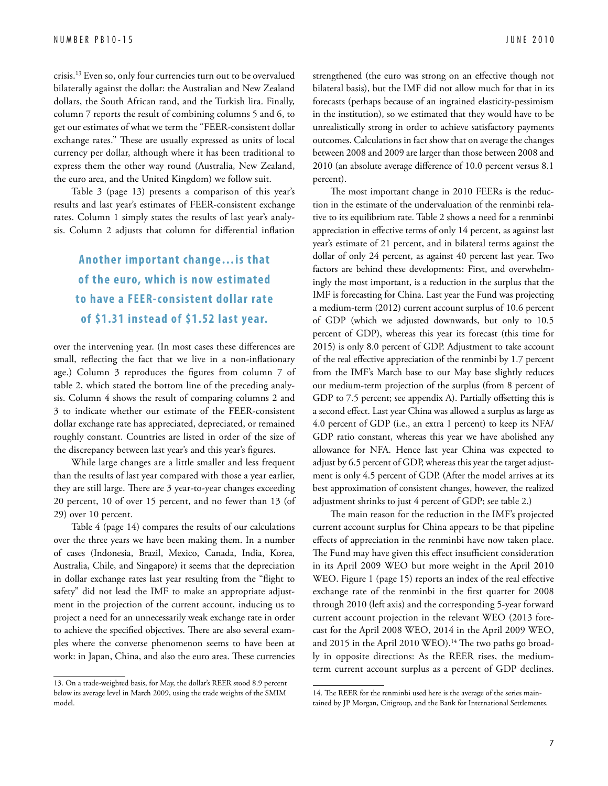crisis.13 Even so, only four currencies turn out to be overvalued bilaterally against the dollar: the Australian and New Zealand dollars, the South African rand, and the Turkish lira. Finally, column 7 reports the result of combining columns 5 and 6, to get our estimates of what we term the "FEER-consistent dollar exchange rates." These are usually expressed as units of local currency per dollar, although where it has been traditional to express them the other way round (Australia, New Zealand, the euro area, and the United Kingdom) we follow suit.

Table 3 (page 13) presents a comparison of this year's results and last year's estimates of FEER-consistent exchange rates. Column 1 simply states the results of last year's analysis. Column 2 adjusts that column for differential inflation

## **Another impor tant change…is that of the euro, which is now estimated to have a FEER- consistent dollar rate of \$1.31 instead of \$1.52 last year.**

over the intervening year. (In most cases these differences are small, reflecting the fact that we live in a non-inflationary age.) Column 3 reproduces the figures from column 7 of table 2, which stated the bottom line of the preceding analysis. Column 4 shows the result of comparing columns 2 and 3 to indicate whether our estimate of the FEER-consistent dollar exchange rate has appreciated, depreciated, or remained roughly constant. Countries are listed in order of the size of the discrepancy between last year's and this year's figures.

While large changes are a little smaller and less frequent than the results of last year compared with those a year earlier, they are still large. There are 3 year-to-year changes exceeding 20 percent, 10 of over 15 percent, and no fewer than 13 (of 29) over 10 percent.

Table 4 (page 14) compares the results of our calculations over the three years we have been making them. In a number of cases (Indonesia, Brazil, Mexico, Canada, India, Korea, Australia, Chile, and Singapore) it seems that the depreciation in dollar exchange rates last year resulting from the "flight to safety" did not lead the IMF to make an appropriate adjustment in the projection of the current account, inducing us to project a need for an unnecessarily weak exchange rate in order to achieve the specified objectives. There are also several examples where the converse phenomenon seems to have been at work: in Japan, China, and also the euro area. These currencies strengthened (the euro was strong on an effective though not bilateral basis), but the IMF did not allow much for that in its forecasts (perhaps because of an ingrained elasticity-pessimism in the institution), so we estimated that they would have to be unrealistically strong in order to achieve satisfactory payments outcomes. Calculations in fact show that on average the changes between 2008 and 2009 are larger than those between 2008 and 2010 (an absolute average difference of 10.0 percent versus 8.1 percent).

The most important change in 2010 FEERs is the reduction in the estimate of the undervaluation of the renminbi relative to its equilibrium rate. Table 2 shows a need for a renminbi appreciation in effective terms of only 14 percent, as against last year's estimate of 21 percent, and in bilateral terms against the dollar of only 24 percent, as against 40 percent last year. Two factors are behind these developments: First, and overwhelmingly the most important, is a reduction in the surplus that the IMF is forecasting for China. Last year the Fund was projecting a medium-term (2012) current account surplus of 10.6 percent of GDP (which we adjusted downwards, but only to 10.5 percent of GDP), whereas this year its forecast (this time for 2015) is only 8.0 percent of GDP. Adjustment to take account of the real effective appreciation of the renminbi by 1.7 percent from the IMF's March base to our May base slightly reduces our medium-term projection of the surplus (from 8 percent of GDP to 7.5 percent; see appendix A). Partially offsetting this is a second effect. Last year China was allowed a surplus as large as 4.0 percent of GDP (i.e., an extra 1 percent) to keep its NFA/ GDP ratio constant, whereas this year we have abolished any allowance for NFA. Hence last year China was expected to adjust by 6.5 percent of GDP, whereas this year the target adjustment is only 4.5 percent of GDP. (After the model arrives at its best approximation of consistent changes, however, the realized adjustment shrinks to just 4 percent of GDP; see table 2.)

The main reason for the reduction in the IMF's projected current account surplus for China appears to be that pipeline effects of appreciation in the renminbi have now taken place. The Fund may have given this effect insufficient consideration in its April 2009 WEO but more weight in the April 2010 WEO. Figure 1 (page 15) reports an index of the real effective exchange rate of the renminbi in the first quarter for 2008 through 2010 (left axis) and the corresponding 5-year forward current account projection in the relevant WEO (2013 forecast for the April 2008 WEO, 2014 in the April 2009 WEO, and 2015 in the April 2010 WEO).<sup>14</sup> The two paths go broadly in opposite directions: As the REER rises, the mediumterm current account surplus as a percent of GDP declines.

<sup>13.</sup> On a trade-weighted basis, for May, the dollar's REER stood 8.9 percent below its average level in March 2009, using the trade weights of the SMIM model.

<sup>14.</sup> The REER for the renminbi used here is the average of the series maintained by JP Morgan, Citigroup, and the Bank for International Settlements.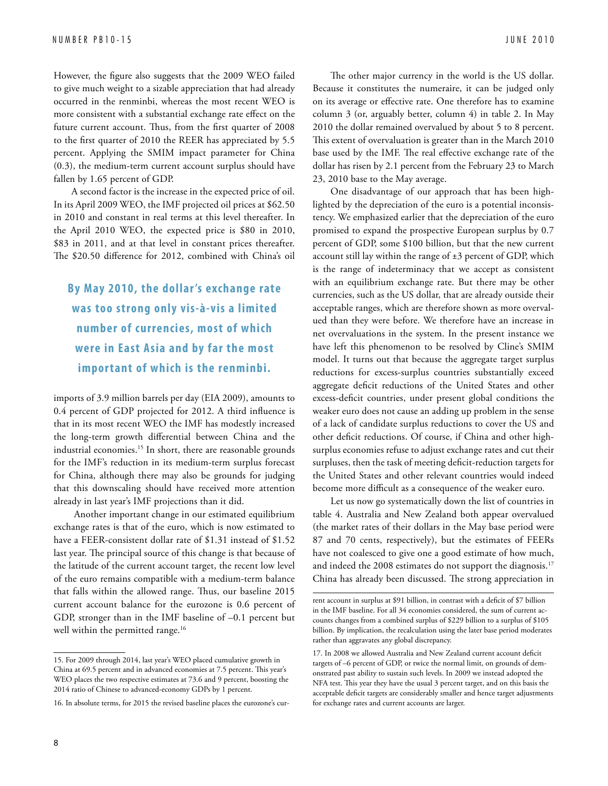However, the figure also suggests that the 2009 WEO failed to give much weight to a sizable appreciation that had already occurred in the renminbi, whereas the most recent WEO is more consistent with a substantial exchange rate effect on the future current account. Thus, from the first quarter of 2008 to the first quarter of 2010 the REER has appreciated by 5.5 percent. Applying the SMIM impact parameter for China (0.3), the medium-term current account surplus should have fallen by 1.65 percent of GDP.

A second factor is the increase in the expected price of oil. In its April 2009 WEO, the IMF projected oil prices at \$62.50 in 2010 and constant in real terms at this level thereafter. In the April 2010 WEO, the expected price is \$80 in 2010, \$83 in 2011, and at that level in constant prices thereafter. The \$20.50 difference for 2012, combined with China's oil

## **By May 2010, the dollar 's exchange rate was too strong only vis-à-vis a limited number of currencies, most of which were in East A sia and by far the most impor tant of which is the renminbi.**

imports of 3.9 million barrels per day (EIA 2009), amounts to 0.4 percent of GDP projected for 2012. A third influence is that in its most recent WEO the IMF has modestly increased the long-term growth differential between China and the industrial economies.15 In short, there are reasonable grounds for the IMF's reduction in its medium-term surplus forecast for China, although there may also be grounds for judging that this downscaling should have received more attention already in last year's IMF projections than it did.

 Another important change in our estimated equilibrium exchange rates is that of the euro, which is now estimated to have a FEER-consistent dollar rate of \$1.31 instead of \$1.52 last year. The principal source of this change is that because of the latitude of the current account target, the recent low level of the euro remains compatible with a medium-term balance that falls within the allowed range. Thus, our baseline 2015 current account balance for the eurozone is 0.6 percent of GDP, stronger than in the IMF baseline of –0.1 percent but well within the permitted range.<sup>16</sup>

The other major currency in the world is the US dollar. Because it constitutes the numeraire, it can be judged only on its average or effective rate. One therefore has to examine column 3 (or, arguably better, column 4) in table 2. In May 2010 the dollar remained overvalued by about 5 to 8 percent. This extent of overvaluation is greater than in the March 2010 base used by the IMF. The real effective exchange rate of the dollar has risen by 2.1 percent from the February 23 to March 23, 2010 base to the May average.

One disadvantage of our approach that has been highlighted by the depreciation of the euro is a potential inconsistency. We emphasized earlier that the depreciation of the euro promised to expand the prospective European surplus by 0.7 percent of GDP, some \$100 billion, but that the new current account still lay within the range of ±3 percent of GDP, which is the range of indeterminacy that we accept as consistent with an equilibrium exchange rate. But there may be other currencies, such as the US dollar, that are already outside their acceptable ranges, which are therefore shown as more overvalued than they were before. We therefore have an increase in net overvaluations in the system. In the present instance we have left this phenomenon to be resolved by Cline's SMIM model. It turns out that because the aggregate target surplus reductions for excess-surplus countries substantially exceed aggregate deficit reductions of the United States and other excess-deficit countries, under present global conditions the weaker euro does not cause an adding up problem in the sense of a lack of candidate surplus reductions to cover the US and other deficit reductions. Of course, if China and other highsurplus economies refuse to adjust exchange rates and cut their surpluses, then the task of meeting deficit-reduction targets for the United States and other relevant countries would indeed become more difficult as a consequence of the weaker euro.

Let us now go systematically down the list of countries in table 4. Australia and New Zealand both appear overvalued (the market rates of their dollars in the May base period were 87 and 70 cents, respectively), but the estimates of FEERs have not coalesced to give one a good estimate of how much, and indeed the 2008 estimates do not support the diagnosis.<sup>17</sup> China has already been discussed. The strong appreciation in

<sup>15.</sup> For 2009 through 2014, last year's WEO placed cumulative growth in China at 69.5 percent and in advanced economies at 7.5 percent. This year's WEO places the two respective estimates at 73.6 and 9 percent, boosting the 2014 ratio of Chinese to advanced-economy GDPs by 1 percent.

<sup>16.</sup> In absolute terms, for 2015 the revised baseline places the eurozone's cur-

rent account in surplus at \$91 billion, in contrast with a deficit of \$7 billion in the IMF baseline. For all 34 economies considered, the sum of current accounts changes from a combined surplus of \$229 billion to a surplus of \$105 billion. By implication, the recalculation using the later base period moderates rather than aggravates any global discrepancy.

<sup>17.</sup> In 2008 we allowed Australia and New Zealand current account deficit targets of –6 percent of GDP, or twice the normal limit, on grounds of demonstrated past ability to sustain such levels. In 2009 we instead adopted the NFA test. This year they have the usual 3 percent target, and on this basis the acceptable deficit targets are considerably smaller and hence target adjustments for exchange rates and current accounts are larger.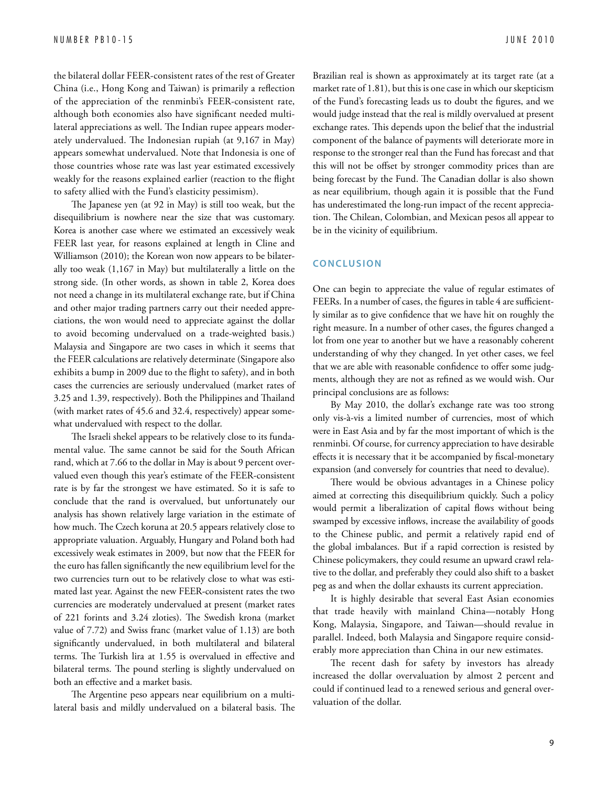the bilateral dollar FEER-consistent rates of the rest of Greater China (i.e., Hong Kong and Taiwan) is primarily a reflection of the appreciation of the renminbi's FEER-consistent rate, although both economies also have significant needed multilateral appreciations as well. The Indian rupee appears moderately undervalued. The Indonesian rupiah (at 9,167 in May) appears somewhat undervalued. Note that Indonesia is one of those countries whose rate was last year estimated excessively weakly for the reasons explained earlier (reaction to the flight to safety allied with the Fund's elasticity pessimism).

The Japanese yen (at 92 in May) is still too weak, but the disequilibrium is nowhere near the size that was customary. Korea is another case where we estimated an excessively weak FEER last year, for reasons explained at length in Cline and Williamson (2010); the Korean won now appears to be bilaterally too weak (1,167 in May) but multilaterally a little on the strong side. (In other words, as shown in table 2, Korea does not need a change in its multilateral exchange rate, but if China and other major trading partners carry out their needed appreciations, the won would need to appreciate against the dollar to avoid becoming undervalued on a trade-weighted basis.) Malaysia and Singapore are two cases in which it seems that the FEER calculations are relatively determinate (Singapore also exhibits a bump in 2009 due to the flight to safety), and in both cases the currencies are seriously undervalued (market rates of 3.25 and 1.39, respectively). Both the Philippines and Thailand (with market rates of 45.6 and 32.4, respectively) appear somewhat undervalued with respect to the dollar.

The Israeli shekel appears to be relatively close to its fundamental value. The same cannot be said for the South African rand, which at 7.66 to the dollar in May is about 9 percent overvalued even though this year's estimate of the FEER-consistent rate is by far the strongest we have estimated. So it is safe to conclude that the rand is overvalued, but unfortunately our analysis has shown relatively large variation in the estimate of how much. The Czech koruna at 20.5 appears relatively close to appropriate valuation. Arguably, Hungary and Poland both had excessively weak estimates in 2009, but now that the FEER for the euro has fallen significantly the new equilibrium level for the two currencies turn out to be relatively close to what was estimated last year. Against the new FEER-consistent rates the two currencies are moderately undervalued at present (market rates of 221 forints and 3.24 zloties). The Swedish krona (market value of 7.72) and Swiss franc (market value of 1.13) are both significantly undervalued, in both multilateral and bilateral terms. The Turkish lira at 1.55 is overvalued in effective and bilateral terms. The pound sterling is slightly undervalued on both an effective and a market basis.

The Argentine peso appears near equilibrium on a multilateral basis and mildly undervalued on a bilateral basis. The Brazilian real is shown as approximately at its target rate (at a market rate of 1.81), but this is one case in which our skepticism of the Fund's forecasting leads us to doubt the figures, and we would judge instead that the real is mildly overvalued at present exchange rates. This depends upon the belief that the industrial component of the balance of payments will deteriorate more in response to the stronger real than the Fund has forecast and that this will not be offset by stronger commodity prices than are being forecast by the Fund. The Canadian dollar is also shown as near equilibrium, though again it is possible that the Fund has underestimated the long-run impact of the recent appreciation. The Chilean, Colombian, and Mexican pesos all appear to be in the vicinity of equilibrium.

#### **CONCLUSION**

One can begin to appreciate the value of regular estimates of FEERs. In a number of cases, the figures in table 4 are sufficiently similar as to give confidence that we have hit on roughly the right measure. In a number of other cases, the figures changed a lot from one year to another but we have a reasonably coherent understanding of why they changed. In yet other cases, we feel that we are able with reasonable confidence to offer some judgments, although they are not as refined as we would wish. Our principal conclusions are as follows:

By May 2010, the dollar's exchange rate was too strong only vis-à-vis a limited number of currencies, most of which were in East Asia and by far the most important of which is the renminbi. Of course, for currency appreciation to have desirable effects it is necessary that it be accompanied by fiscal-monetary expansion (and conversely for countries that need to devalue).

There would be obvious advantages in a Chinese policy aimed at correcting this disequilibrium quickly. Such a policy would permit a liberalization of capital flows without being swamped by excessive inflows, increase the availability of goods to the Chinese public, and permit a relatively rapid end of the global imbalances. But if a rapid correction is resisted by Chinese policymakers, they could resume an upward crawl relative to the dollar, and preferably they could also shift to a basket peg as and when the dollar exhausts its current appreciation.

It is highly desirable that several East Asian economies that trade heavily with mainland China—notably Hong Kong, Malaysia, Singapore, and Taiwan—should revalue in parallel. Indeed, both Malaysia and Singapore require considerably more appreciation than China in our new estimates.

The recent dash for safety by investors has already increased the dollar overvaluation by almost 2 percent and could if continued lead to a renewed serious and general overvaluation of the dollar.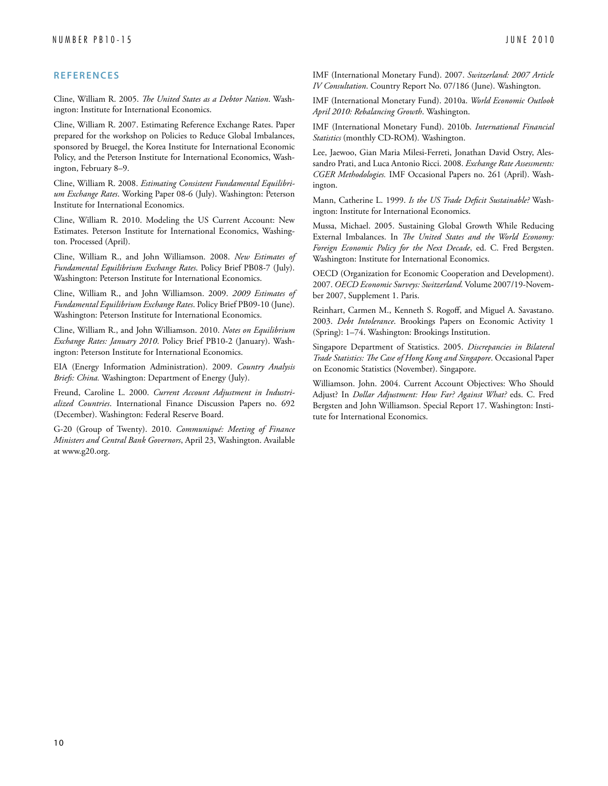Cline, William R. 2005. *The United States as a Debtor Nation*. Washington: Institute for International Economics.

Cline, William R. 2007. Estimating Reference Exchange Rates. Paper prepared for the workshop on Policies to Reduce Global Imbalances, sponsored by Bruegel, the Korea Institute for International Economic Policy, and the Peterson Institute for International Economics, Washington, February 8–9.

Cline, William R. 2008. *Estimating Consistent Fundamental Equilibrium Exchange Rates*. Working Paper 08-6 (July). Washington: Peterson Institute for International Economics.

Cline, William R. 2010. Modeling the US Current Account: New Estimates. Peterson Institute for International Economics, Washington. Processed (April).

Cline, William R., and John Williamson. 2008. *New Estimates of Fundamental Equilibrium Exchange Rates*. Policy Brief PB08-7 (July). Washington: Peterson Institute for International Economics.

Cline, William R., and John Williamson. 2009. *2009 Estimates of Fundamental Equilibrium Exchange Rates*. Policy Brief PB09-10 (June). Washington: Peterson Institute for International Economics.

Cline, William R., and John Williamson. 2010. *Notes on Equilibrium Exchange Rates: January 2010*. Policy Brief PB10-2 (January). Washington: Peterson Institute for International Economics.

EIA (Energy Information Administration). 2009. *Country Analysis Briefs: China.* Washington: Department of Energy (July).

Freund, Caroline L. 2000. *Current Account Adjustment in Industrialized Countries*. International Finance Discussion Papers no. 692 (December). Washington: Federal Reserve Board.

G-20 (Group of Twenty). 2010. *Communiqué: Meeting of Finance Ministers and Central Bank Governors*, April 23, Washington. Available at www.g20.org.

IMF (International Monetary Fund). 2007. *Switzerland: 2007 Article IV Consultation*. Country Report No. 07/186 (June). Washington.

IMF (International Monetary Fund). 2010a. *World Economic Outlook April 2010: Rebalancing Growth*. Washington.

IMF (International Monetary Fund). 2010b. *International Financial Statistics* (monthly CD-ROM)*.* Washington.

Lee, Jaewoo, Gian Maria Milesi-Ferreti, Jonathan David Ostry, Alessandro Prati, and Luca Antonio Ricci. 2008. *Exchange Rate Assessments: CGER Methodologies.* IMF Occasional Papers no. 261 (April). Washington.

Mann, Catherine L. 1999. *Is the US Trade Deficit Sustainable?* Washington: Institute for International Economics.

Mussa, Michael. 2005. Sustaining Global Growth While Reducing External Imbalances. In *The United States and the World Economy: Foreign Economic Policy for the Next Decade*, ed. C. Fred Bergsten. Washington: Institute for International Economics.

OECD (Organization for Economic Cooperation and Development). 2007. *OECD Economic Surveys: Switzerland.* Volume 2007/19-November 2007, Supplement 1. Paris.

Reinhart, Carmen M., Kenneth S. Rogoff, and Miguel A. Savastano. 2003. *Debt Intolerance*. Brookings Papers on Economic Activity 1 (Spring): 1–74. Washington: Brookings Institution.

Singapore Department of Statistics. 2005. *Discrepancies in Bilateral Trade Statistics: The Case of Hong Kong and Singapore*. Occasional Paper on Economic Statistics (November). Singapore.

Williamson. John. 2004. Current Account Objectives: Who Should Adjust? In *Dollar Adjustment: How Far? Against What?* eds. C. Fred Bergsten and John Williamson. Special Report 17. Washington: Institute for International Economics.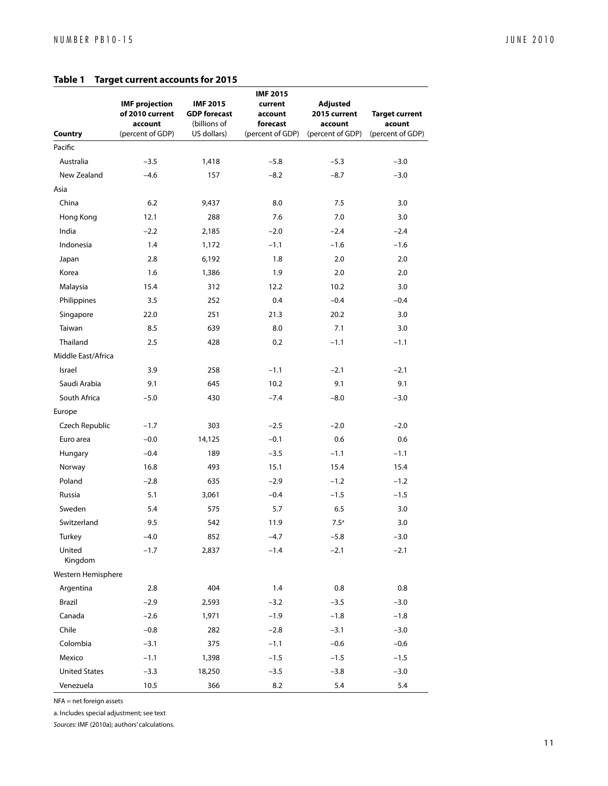#### **Table 1 Target current accounts for 2015**

| <b>Country</b>       | <b>IMF</b> projection<br>of 2010 current<br>account<br>(percent of GDP) | <b>IMF 2015</b><br><b>GDP</b> forecast<br>(billions of<br>US dollars) | <b>IMF 2015</b><br>current<br>account<br>forecast<br>(percent of GDP) | <b>Adjusted</b><br>2015 current<br>account<br>(percent of GDP) | <b>Target current</b><br>acount<br>(percent of GDP) |
|----------------------|-------------------------------------------------------------------------|-----------------------------------------------------------------------|-----------------------------------------------------------------------|----------------------------------------------------------------|-----------------------------------------------------|
| Pacific              |                                                                         |                                                                       |                                                                       |                                                                |                                                     |
| Australia            | $-3.5$                                                                  | 1,418                                                                 | $-5.8$                                                                | $-5.3$                                                         | $-3.0$                                              |
| New Zealand          | $-4.6$                                                                  | 157                                                                   | $-8.2$                                                                | $-8.7$                                                         | $-3.0$                                              |
| Asia                 |                                                                         |                                                                       |                                                                       |                                                                |                                                     |
| China                | 6.2                                                                     | 9,437                                                                 | 8.0                                                                   | 7.5                                                            | 3.0                                                 |
| Hong Kong            | 12.1                                                                    | 288                                                                   | 7.6                                                                   | 7.0                                                            | 3.0                                                 |
| India                | $-2.2$                                                                  | 2,185                                                                 | $-2.0$                                                                | $-2.4$                                                         | $-2.4$                                              |
| Indonesia            | 1.4                                                                     | 1,172                                                                 | $-1.1$                                                                | $-1.6$                                                         | $-1.6$                                              |
| Japan                | 2.8                                                                     | 6,192                                                                 | 1.8                                                                   | 2.0                                                            | 2.0                                                 |
| Korea                | 1.6                                                                     | 1,386                                                                 | 1.9                                                                   | 2.0                                                            | 2.0                                                 |
| Malaysia             | 15.4                                                                    | 312                                                                   | 12.2                                                                  | 10.2                                                           | 3.0                                                 |
| Philippines          | 3.5                                                                     | 252                                                                   | 0.4                                                                   | $-0.4$                                                         | $-0.4$                                              |
| Singapore            | 22.0                                                                    | 251                                                                   | 21.3                                                                  | 20.2                                                           | 3.0                                                 |
| Taiwan               | 8.5                                                                     | 639                                                                   | 8.0                                                                   | 7.1                                                            | 3.0                                                 |
| Thailand             | 2.5                                                                     | 428                                                                   | 0.2                                                                   | $-1.1$                                                         | $-1.1$                                              |
| Middle East/Africa   |                                                                         |                                                                       |                                                                       |                                                                |                                                     |
| Israel               | 3.9                                                                     | 258                                                                   | $-1.1$                                                                | $-2.1$                                                         | $-2.1$                                              |
| Saudi Arabia         | 9.1                                                                     | 645                                                                   | 10.2                                                                  | 9.1                                                            | 9.1                                                 |
| South Africa         | $-5.0$                                                                  | 430                                                                   | $-7.4$                                                                | $-8.0$                                                         | $-3.0$                                              |
| Europe               |                                                                         |                                                                       |                                                                       |                                                                |                                                     |
| Czech Republic       | $-1.7$                                                                  | 303                                                                   | $-2.5$                                                                | $-2.0$                                                         | $-2.0$                                              |
| Euro area            | $-0.0$                                                                  | 14,125                                                                | $-0.1$                                                                | 0.6                                                            | 0.6                                                 |
| Hungary              | $-0.4$                                                                  | 189                                                                   | $-3.5$                                                                | $-1.1$                                                         | $-1.1$                                              |
| Norway               | 16.8                                                                    | 493                                                                   | 15.1                                                                  | 15.4                                                           | 15.4                                                |
| Poland               | $-2.8$                                                                  | 635                                                                   | $-2.9$                                                                | $-1.2$                                                         | $-1.2$                                              |
| Russia               | 5.1                                                                     | 3,061                                                                 | $-0.4$                                                                | $-1.5$                                                         | $-1.5$                                              |
| Sweden               | 5.4                                                                     | 575                                                                   | 5.7                                                                   | 6.5                                                            | 3.0                                                 |
| Switzerland          | 9.5                                                                     | 542                                                                   | 11.9                                                                  | 7.5 <sup>a</sup>                                               | 3.0                                                 |
| Turkey               | $-4.0$                                                                  | 852                                                                   | $-4.7$                                                                | $-5.8$                                                         | $-3.0$                                              |
| United<br>Kingdom    | $-1.7$                                                                  | 2,837                                                                 | $-1.4$                                                                | $-2.1$                                                         | $-2.1$                                              |
| Western Hemisphere   |                                                                         |                                                                       |                                                                       |                                                                |                                                     |
| Argentina            | 2.8                                                                     | 404                                                                   | $1.4$                                                                 | 0.8                                                            | 0.8                                                 |
| Brazil               | $-2.9$                                                                  | 2,593                                                                 | $-3.2$                                                                | $-3.5$                                                         | $-3.0$                                              |
| Canada               | $-2.6$                                                                  | 1,971                                                                 | $-1.9$                                                                | $-1.8$                                                         | $-1.8$                                              |
| Chile                | $-0.8$                                                                  | 282                                                                   | $-2.8$                                                                | $-3.1$                                                         | $-3.0$                                              |
| Colombia             | $-3.1$                                                                  | 375                                                                   | $-1.1$                                                                | $-0.6$                                                         | $-0.6$                                              |
| Mexico               | $-1.1$                                                                  | 1,398                                                                 | $-1.5$                                                                | $-1.5$                                                         | $-1.5$                                              |
| <b>United States</b> | $-3.3$                                                                  | 18,250                                                                | $-3.5$                                                                | $-3.8$                                                         | $-3.0$                                              |
| Venezuela            | 10.5                                                                    | 366                                                                   | $8.2\,$                                                               | $5.4\,$                                                        | $5.4$                                               |

NFA = net foreign assets

a. Includes special adjustment; see text

*Sources:* IMF (2010a); authors' calculations.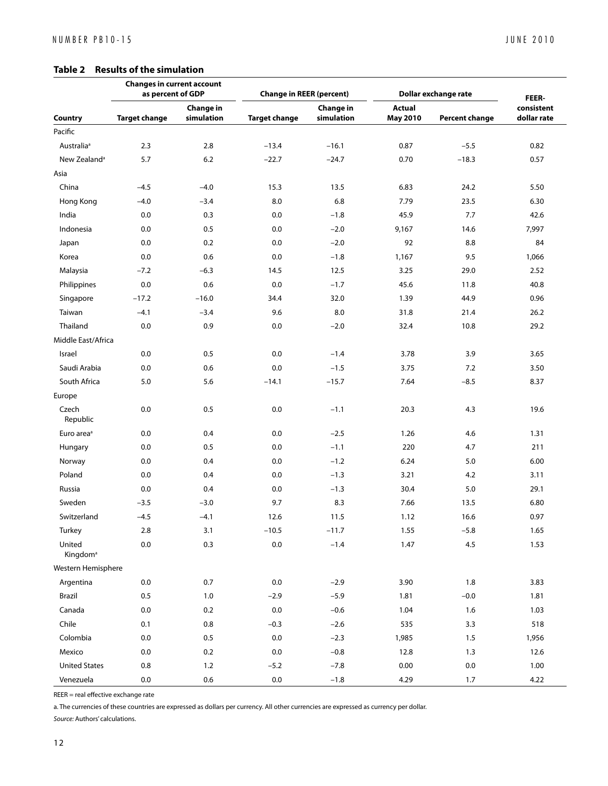#### **Table 2 Results of the simulation**

|                                | <b>Changes in current account</b><br>as percent of GDP |                                | <b>Change in REER (percent)</b> |                         | Dollar exchange rate             |                       | FEER-                     |
|--------------------------------|--------------------------------------------------------|--------------------------------|---------------------------------|-------------------------|----------------------------------|-----------------------|---------------------------|
| Country                        | <b>Target change</b>                                   | <b>Change in</b><br>simulation | <b>Target change</b>            | Change in<br>simulation | <b>Actual</b><br><b>May 2010</b> | <b>Percent change</b> | consistent<br>dollar rate |
| Pacific                        |                                                        |                                |                                 |                         |                                  |                       |                           |
| Australia <sup>a</sup>         | 2.3                                                    | 2.8                            | $-13.4$                         | $-16.1$                 | 0.87                             | $-5.5$                | 0.82                      |
| New Zealand <sup>a</sup>       | 5.7                                                    | 6.2                            | $-22.7$                         | $-24.7$                 | 0.70                             | $-18.3$               | 0.57                      |
| Asia                           |                                                        |                                |                                 |                         |                                  |                       |                           |
| China                          | $-4.5$                                                 | $-4.0$                         | 15.3                            | 13.5                    | 6.83                             | 24.2                  | 5.50                      |
| Hong Kong                      | $-4.0$                                                 | $-3.4$                         | 8.0                             | 6.8                     | 7.79                             | 23.5                  | 6.30                      |
| India                          | 0.0                                                    | 0.3                            | 0.0                             | $-1.8$                  | 45.9                             | 7.7                   | 42.6                      |
| Indonesia                      | 0.0                                                    | 0.5                            | 0.0                             | $-2.0$                  | 9,167                            | 14.6                  | 7,997                     |
| Japan                          | 0.0                                                    | 0.2                            | 0.0                             | $-2.0$                  | 92                               | 8.8                   | 84                        |
| Korea                          | 0.0                                                    | 0.6                            | 0.0                             | $-1.8$                  | 1,167                            | 9.5                   | 1,066                     |
| Malaysia                       | $-7.2$                                                 | $-6.3$                         | 14.5                            | 12.5                    | 3.25                             | 29.0                  | 2.52                      |
| Philippines                    | 0.0                                                    | 0.6                            | 0.0                             | $-1.7$                  | 45.6                             | 11.8                  | 40.8                      |
| Singapore                      | $-17.2$                                                | $-16.0$                        | 34.4                            | 32.0                    | 1.39                             | 44.9                  | 0.96                      |
| Taiwan                         | $-4.1$                                                 | $-3.4$                         | 9.6                             | 8.0                     | 31.8                             | 21.4                  | 26.2                      |
| Thailand                       | 0.0                                                    | 0.9                            | 0.0                             | $-2.0$                  | 32.4                             | 10.8                  | 29.2                      |
| Middle East/Africa             |                                                        |                                |                                 |                         |                                  |                       |                           |
| Israel                         | 0.0                                                    | 0.5                            | 0.0                             | $-1.4$                  | 3.78                             | 3.9                   | 3.65                      |
| Saudi Arabia                   | 0.0                                                    | 0.6                            | 0.0                             | $-1.5$                  | 3.75                             | 7.2                   | 3.50                      |
| South Africa                   | 5.0                                                    | 5.6                            | $-14.1$                         | $-15.7$                 | 7.64                             | $-8.5$                | 8.37                      |
| Europe                         |                                                        |                                |                                 |                         |                                  |                       |                           |
| Czech<br>Republic              | 0.0                                                    | 0.5                            | 0.0                             | $-1.1$                  | 20.3                             | 4.3                   | 19.6                      |
| Euro area <sup>a</sup>         | 0.0                                                    | 0.4                            | 0.0                             | $-2.5$                  | 1.26                             | 4.6                   | 1.31                      |
| Hungary                        | 0.0                                                    | 0.5                            | 0.0                             | $-1.1$                  | 220                              | 4.7                   | 211                       |
| Norway                         | 0.0                                                    | 0.4                            | 0.0                             | $-1.2$                  | 6.24                             | 5.0                   | 6.00                      |
| Poland                         | 0.0                                                    | 0.4                            | 0.0                             | $-1.3$                  | 3.21                             | 4.2                   | 3.11                      |
| Russia                         | 0.0                                                    | 0.4                            | 0.0                             | $-1.3$                  | 30.4                             | 5.0                   | 29.1                      |
| Sweden                         | $-3.5$                                                 | $-3.0$                         | 9.7                             | 8.3                     | 7.66                             | 13.5                  | 6.80                      |
| Switzerland                    | $-4.5$                                                 | $-4.1$                         | 12.6                            | 11.5                    | 1.12                             | 16.6                  | 0.97                      |
| Turkey                         | 2.8                                                    | 3.1                            | $-10.5$                         | $-11.7$                 | 1.55                             | $-5.8$                | 1.65                      |
| United<br>Kingdom <sup>a</sup> | $0.0\,$                                                | 0.3                            | $0.0\,$                         | $-1.4$                  | 1.47                             | 4.5                   | 1.53                      |
| Western Hemisphere             |                                                        |                                |                                 |                         |                                  |                       |                           |
| Argentina                      | 0.0                                                    | 0.7                            | $0.0\,$                         | $-2.9$                  | 3.90                             | 1.8                   | 3.83                      |
| Brazil                         | $0.5\,$                                                | 1.0                            | $-2.9$                          | $-5.9$                  | 1.81                             | $-0.0$                | 1.81                      |
| Canada                         | 0.0                                                    | 0.2                            | 0.0                             | $-0.6$                  | 1.04                             | 1.6                   | 1.03                      |
| Chile                          | 0.1                                                    | 0.8                            | $-0.3$                          | $-2.6$                  | 535                              | 3.3                   | 518                       |
| Colombia                       | $0.0\,$                                                | $0.5\,$                        | $0.0\,$                         | $-2.3$                  | 1,985                            | 1.5                   | 1,956                     |
| Mexico                         | 0.0                                                    | 0.2                            | 0.0                             | $-0.8$                  | 12.8                             | 1.3                   | 12.6                      |
| <b>United States</b>           | 0.8                                                    | 1.2                            | $-5.2$                          | $-7.8$                  | 0.00                             | 0.0                   | 1.00                      |
| Venezuela                      | $0.0\,$                                                | $0.6\,$                        | $0.0\,$                         | $-1.8$                  | 4.29                             | 1.7                   | 4.22                      |

REER = real effective exchange rate

a. The currencies of these countries are expressed as dollars per currency. All other currencies are expressed as currency per dollar.

*Source:* Authors' calculations.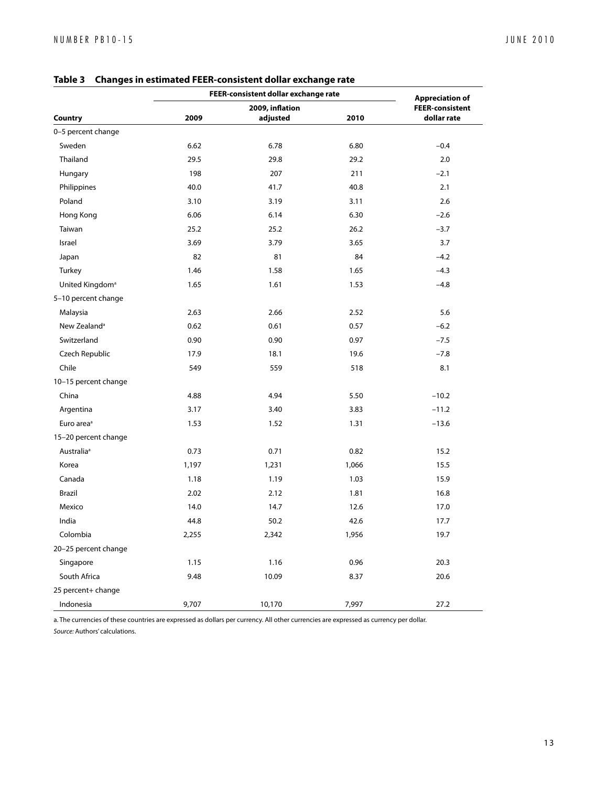|                              | FEER-consistent dollar exchange rate | <b>Appreciation of</b> |       |                        |  |
|------------------------------|--------------------------------------|------------------------|-------|------------------------|--|
| Country                      | 2009, inflation                      |                        |       | <b>FEER-consistent</b> |  |
|                              | 2009                                 | adjusted               | 2010  | dollar rate            |  |
| 0-5 percent change<br>Sweden |                                      |                        |       |                        |  |
|                              | 6.62                                 | 6.78                   | 6.80  | $-0.4$                 |  |
| Thailand                     | 29.5                                 | 29.8                   | 29.2  | 2.0                    |  |
| Hungary                      | 198                                  | 207                    | 211   | $-2.1$                 |  |
| Philippines                  | 40.0                                 | 41.7                   | 40.8  | 2.1                    |  |
| Poland                       | 3.10                                 | 3.19                   | 3.11  | 2.6                    |  |
| Hong Kong                    | 6.06                                 | 6.14                   | 6.30  | $-2.6$                 |  |
| Taiwan                       | 25.2                                 | 25.2                   | 26.2  | $-3.7$                 |  |
| Israel                       | 3.69                                 | 3.79                   | 3.65  | 3.7                    |  |
| Japan                        | 82                                   | 81                     | 84    | $-4.2$                 |  |
| Turkey                       | 1.46                                 | 1.58                   | 1.65  | $-4.3$                 |  |
| United Kingdom <sup>a</sup>  | 1.65                                 | 1.61                   | 1.53  | $-4.8$                 |  |
| 5-10 percent change          |                                      |                        |       |                        |  |
| Malaysia                     | 2.63                                 | 2.66                   | 2.52  | 5.6                    |  |
| New Zealand <sup>a</sup>     | 0.62                                 | 0.61                   | 0.57  | $-6.2$                 |  |
| Switzerland                  | 0.90                                 | 0.90                   | 0.97  | $-7.5$                 |  |
| Czech Republic               | 17.9                                 | 18.1                   | 19.6  | $-7.8$                 |  |
| Chile                        | 549                                  | 559                    | 518   | 8.1                    |  |
| 10-15 percent change         |                                      |                        |       |                        |  |
| China                        | 4.88                                 | 4.94                   | 5.50  | $-10.2$                |  |
| Argentina                    | 3.17                                 | 3.40                   | 3.83  | $-11.2$                |  |
| Euro area <sup>a</sup>       | 1.53                                 | 1.52                   | 1.31  | $-13.6$                |  |
| 15-20 percent change         |                                      |                        |       |                        |  |
| Australia <sup>a</sup>       | 0.73                                 | 0.71                   | 0.82  | 15.2                   |  |
| Korea                        | 1,197                                | 1,231                  | 1,066 | 15.5                   |  |
| Canada                       | 1.18                                 | 1.19                   | 1.03  | 15.9                   |  |
| Brazil                       | 2.02                                 | 2.12                   | 1.81  | 16.8                   |  |
| Mexico                       | 14.0                                 | 14.7                   | 12.6  | 17.0                   |  |
| India                        | 44.8                                 | 50.2                   | 42.6  | 17.7                   |  |
| Colombia                     | 2,255                                | 2,342                  | 1,956 | 19.7                   |  |
| 20-25 percent change         |                                      |                        |       |                        |  |
| Singapore                    | 1.15                                 | 1.16                   | 0.96  | 20.3                   |  |
| South Africa                 | 9.48                                 | 10.09                  | 8.37  | 20.6                   |  |
| 25 percent+ change           |                                      |                        |       |                        |  |
| Indonesia                    | 9,707                                | 10,170                 | 7,997 | 27.2                   |  |

**Table 3 Changes in estimated FEER-consistent dollar exchange rate**

a. The currencies of these countries are expressed as dollars per currency. All other currencies are expressed as currency per dollar. *Source:* Authors' calculations.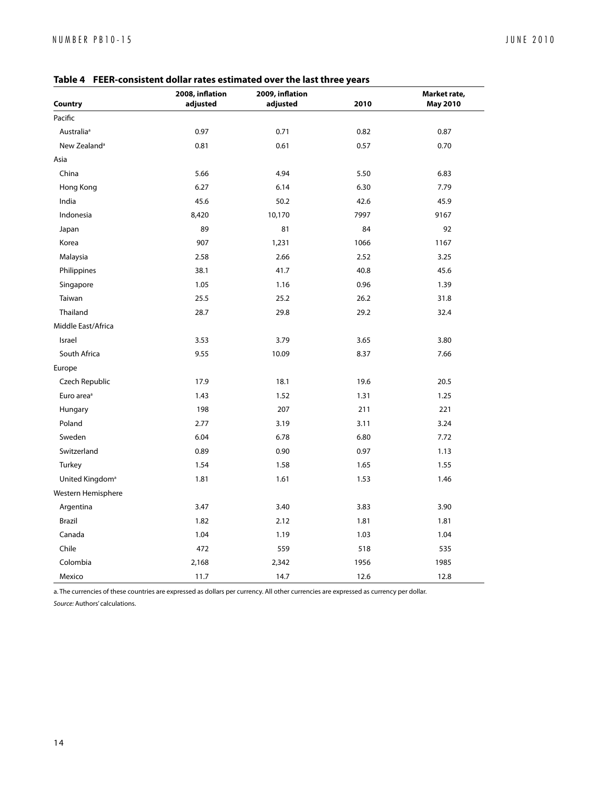| Country                     | 2008, inflation<br>adjusted | Communed over the hot three y<br>2009, inflation<br>adjusted | 2010 | Market rate,<br><b>May 2010</b> |
|-----------------------------|-----------------------------|--------------------------------------------------------------|------|---------------------------------|
| Pacific                     |                             |                                                              |      |                                 |
| Australia <sup>a</sup>      | 0.97                        | 0.71                                                         | 0.82 | 0.87                            |
| New Zealand <sup>a</sup>    | 0.81                        | 0.61                                                         | 0.57 | 0.70                            |
| Asia                        |                             |                                                              |      |                                 |
| China                       | 5.66                        | 4.94                                                         | 5.50 | 6.83                            |
| Hong Kong                   | 6.27                        | 6.14                                                         | 6.30 | 7.79                            |
| India                       | 45.6                        | 50.2                                                         | 42.6 | 45.9                            |
| Indonesia                   | 8,420                       | 10,170                                                       | 7997 | 9167                            |
| Japan                       | 89                          | 81                                                           | 84   | 92                              |
| Korea                       | 907                         | 1,231                                                        | 1066 | 1167                            |
| Malaysia                    | 2.58                        | 2.66                                                         | 2.52 | 3.25                            |
| Philippines                 | 38.1                        | 41.7                                                         | 40.8 | 45.6                            |
| Singapore                   | 1.05                        | 1.16                                                         | 0.96 | 1.39                            |
| Taiwan                      | 25.5                        | 25.2                                                         | 26.2 | 31.8                            |
| Thailand                    | 28.7                        | 29.8                                                         | 29.2 | 32.4                            |
| Middle East/Africa          |                             |                                                              |      |                                 |
| Israel                      | 3.53                        | 3.79                                                         | 3.65 | 3.80                            |
| South Africa                | 9.55                        | 10.09                                                        | 8.37 | 7.66                            |
| Europe                      |                             |                                                              |      |                                 |
| Czech Republic              | 17.9                        | 18.1                                                         | 19.6 | 20.5                            |
| Euro area <sup>a</sup>      | 1.43                        | 1.52                                                         | 1.31 | 1.25                            |
| Hungary                     | 198                         | 207                                                          | 211  | 221                             |
| Poland                      | 2.77                        | 3.19                                                         | 3.11 | 3.24                            |
| Sweden                      | 6.04                        | 6.78                                                         | 6.80 | 7.72                            |
| Switzerland                 | 0.89                        | 0.90                                                         | 0.97 | 1.13                            |
| Turkey                      | 1.54                        | 1.58                                                         | 1.65 | 1.55                            |
| United Kingdom <sup>a</sup> | 1.81                        | 1.61                                                         | 1.53 | 1.46                            |
| Western Hemisphere          |                             |                                                              |      |                                 |
| Argentina                   | 3.47                        | 3.40                                                         | 3.83 | 3.90                            |
| Brazil                      | 1.82                        | 2.12                                                         | 1.81 | 1.81                            |
| Canada                      | 1.04                        | 1.19                                                         | 1.03 | 1.04                            |
| Chile                       | 472                         | 559                                                          | 518  | 535                             |
| Colombia                    | 2,168                       | 2,342                                                        | 1956 | 1985                            |
| Mexico                      | 11.7                        | 14.7                                                         | 12.6 | 12.8                            |

**Table 4 FEER-consistent dollar rates estimated over the last three years**

a. The currencies of these countries are expressed as dollars per currency. All other currencies are expressed as currency per dollar.

*Source:* Authors' calculations.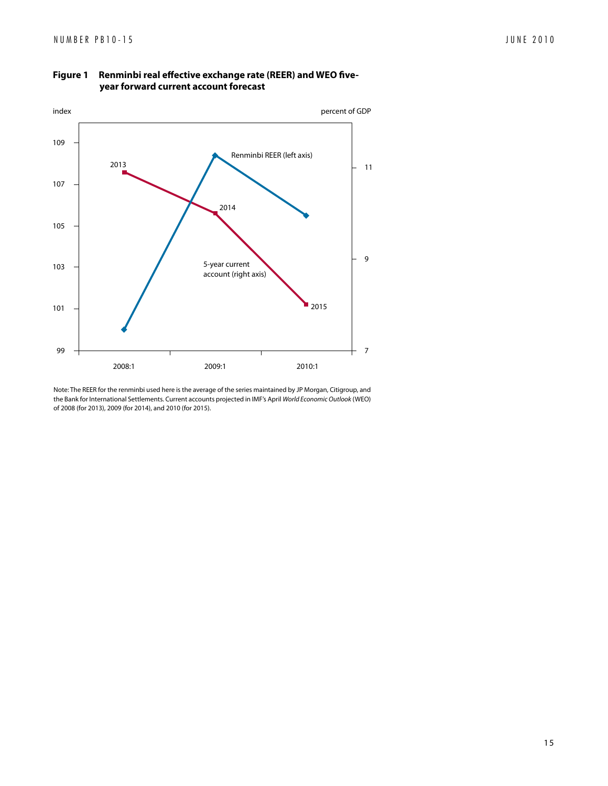

#### **Figure 1 Renminbi real effective exchange rate (REER) and WEO fiveyear forward current account forecast**

Note: The REER for the renminbi used here is the average of the series maintained by JP Morgan, Citigroup, and the Bank for International Settlements. Current accounts projected in IMF's April *World Economic Outlook* (WEO) of 2008 (for 2013), 2009 (for 2014), and 2010 (for 2015).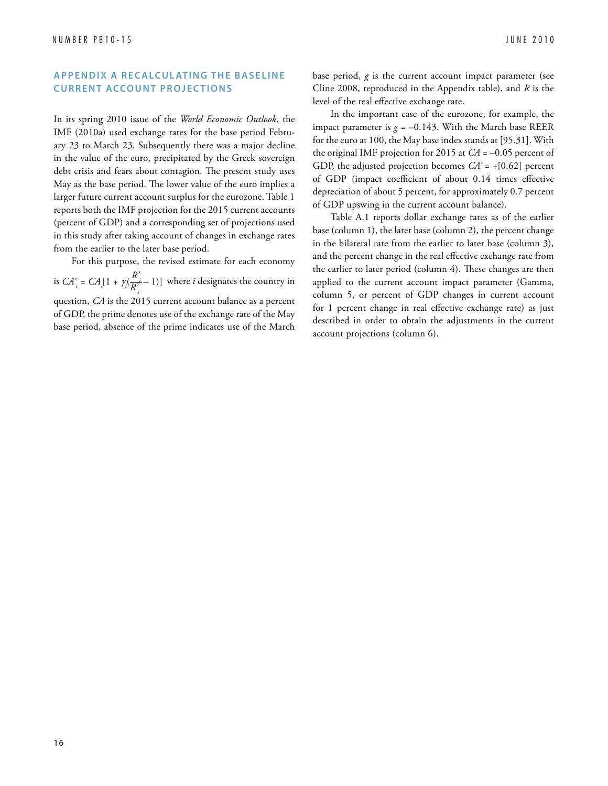#### **APPENDIX A RECALCULATING THE BASELINE CURRENT ACCOUNT PROJECTIONS**

In its spring 2010 issue of the *World Economic Outlook*, the IMF (2010a) used exchange rates for the base period February 23 to March 23. Subsequently there was a major decline in the value of the euro, precipitated by the Greek sovereign debt crisis and fears about contagion. The present study uses May as the base period. The lower value of the euro implies a larger future current account surplus for the eurozone. Table 1 reports both the IMF projection for the 2015 current accounts (percent of GDP) and a corresponding set of projections used in this study after taking account of changes in exchange rates from the earlier to the later base period.

For this purpose, the revised estimate for each economy is  $CA_i = CA_i[1 + \gamma_i(\frac{R_i}{R_i})]$  $\frac{R_i}{R_i^{\prime}}$  – 1)] where *i* designates the country in question, *CA* is the 2015 current account balance as a percent of GDP, the prime denotes use of the exchange rate of the May base period, absence of the prime indicates use of the March

base period, *g* is the current account impact parameter (see Cline 2008, reproduced in the Appendix table), and *R* is the level of the real effective exchange rate.

In the important case of the eurozone, for example, the impact parameter is  $g = -0.143$ . With the March base REER for the euro at 100, the May base index stands at [95.31]. With the original IMF projection for 2015 at  $CA = -0.05$  percent of GDP, the adjusted projection becomes  $CA' = +[0.62]$  percent of GDP (impact coefficient of about 0.14 times effective depreciation of about 5 percent, for approximately 0.7 percent of GDP upswing in the current account balance).

Table A.1 reports dollar exchange rates as of the earlier base (column 1), the later base (column 2), the percent change in the bilateral rate from the earlier to later base (column 3), and the percent change in the real effective exchange rate from the earlier to later period (column 4). These changes are then applied to the current account impact parameter (Gamma, column 5, or percent of GDP changes in current account for 1 percent change in real effective exchange rate) as just described in order to obtain the adjustments in the current account projections (column 6).